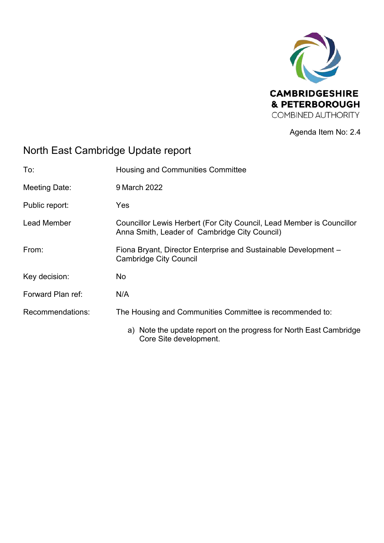

Agenda Item No: 2.4

# North East Cambridge Update report

| To:                  | <b>Housing and Communities Committee</b>                                                                               |
|----------------------|------------------------------------------------------------------------------------------------------------------------|
| <b>Meeting Date:</b> | 9 March 2022                                                                                                           |
| Public report:       | Yes                                                                                                                    |
| <b>Lead Member</b>   | Councillor Lewis Herbert (For City Council, Lead Member is Councillor<br>Anna Smith, Leader of Cambridge City Council) |
| From:                | Fiona Bryant, Director Enterprise and Sustainable Development -<br><b>Cambridge City Council</b>                       |
| Key decision:        | No                                                                                                                     |
| Forward Plan ref:    | N/A                                                                                                                    |
| Recommendations:     | The Housing and Communities Committee is recommended to:                                                               |
|                      | a) Note the update report on the progress for North East Cambridge<br>Core Site development.                           |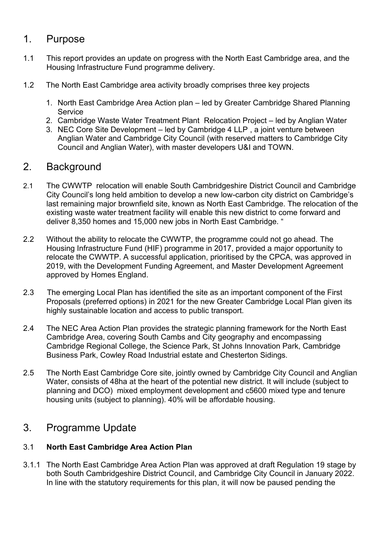## 1. Purpose

- 1.1 This report provides an update on progress with the North East Cambridge area, and the Housing Infrastructure Fund programme delivery.
- 1.2 The North East Cambridge area activity broadly comprises three key projects
	- 1. North East Cambridge Area Action plan led by Greater Cambridge Shared Planning **Service**
	- 2. Cambridge Waste Water Treatment Plant Relocation Project led by Anglian Water
	- 3. NEC Core Site Development led by Cambridge 4 LLP , a joint venture between Anglian Water and Cambridge City Council (with reserved matters to Cambridge City Council and Anglian Water), with master developers U&I and TOWN.

## 2. Background

- 2.1 The CWWTP relocation will enable South Cambridgeshire District Council and Cambridge City Council's long held ambition to develop a new low-carbon city district on Cambridge's last remaining major brownfield site, known as North East Cambridge. The relocation of the existing waste water treatment facility will enable this new district to come forward and deliver 8,350 homes and 15,000 new jobs in North East Cambridge. "
- 2.2 Without the ability to relocate the CWWTP, the programme could not go ahead. The Housing Infrastructure Fund (HIF) programme in 2017, provided a major opportunity to relocate the CWWTP. A successful application, prioritised by the CPCA, was approved in 2019, with the Development Funding Agreement, and Master Development Agreement approved by Homes England.
- 2.3 The emerging Local Plan has identified the site as an important component of the First Proposals (preferred options) in 2021 for the new Greater Cambridge Local Plan given its highly sustainable location and access to public transport.
- 2.4 The NEC Area Action Plan provides the strategic planning framework for the North East Cambridge Area, covering South Cambs and City geography and encompassing Cambridge Regional College, the Science Park, St Johns Innovation Park, Cambridge Business Park, Cowley Road Industrial estate and Chesterton Sidings.
- 2.5 The North East Cambridge Core site, jointly owned by Cambridge City Council and Anglian Water, consists of 48ha at the heart of the potential new district. It will include (subject to planning and DCO) mixed employment development and c5600 mixed type and tenure housing units (subject to planning). 40% will be affordable housing.

## 3. Programme Update

## 3.1 **North East Cambridge Area Action Plan**

3.1.1 The North East Cambridge Area Action Plan was approved at draft Regulation 19 stage by both South Cambridgeshire District Council, and Cambridge City Council in January 2022. In line with the statutory requirements for this plan, it will now be paused pending the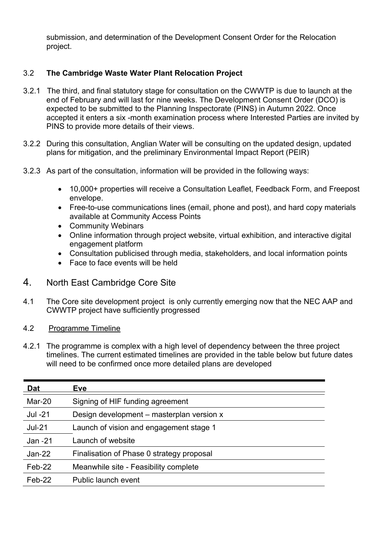submission, and determination of the Development Consent Order for the Relocation project.

## 3.2 **The Cambridge Waste Water Plant Relocation Project**

- 3.2.1 The third, and final statutory stage for consultation on the CWWTP is due to launch at the end of February and will last for nine weeks. The Development Consent Order (DCO) is expected to be submitted to the Planning Inspectorate (PINS) in Autumn 2022. Once accepted it enters a six -month examination process where Interested Parties are invited by PINS to provide more details of their views.
- 3.2.2 During this consultation, Anglian Water will be consulting on the updated design, updated plans for mitigation, and the preliminary Environmental Impact Report (PEIR)
- 3.2.3 As part of the consultation, information will be provided in the following ways:
	- 10,000+ properties will receive a Consultation Leaflet, Feedback Form, and Freepost envelope.
	- Free-to-use communications lines (email, phone and post), and hard copy materials available at Community Access Points
	- Community Webinars
	- Online information through project website, virtual exhibition, and interactive digital engagement platform
	- Consultation publicised through media, stakeholders, and local information points
	- Face to face events will be held

## 4. North East Cambridge Core Site

- 4.1 The Core site development project is only currently emerging now that the NEC AAP and CWWTP project have sufficiently progressed
- 4.2 Programme Timeline
- 4.2.1 The programme is complex with a high level of dependency between the three project timelines. The current estimated timelines are provided in the table below but future dates will need to be confirmed once more detailed plans are developed

| <u>Dat</u> | <b>Eve</b>                                |
|------------|-------------------------------------------|
| Mar-20     | Signing of HIF funding agreement          |
| Jul -21    | Design development – masterplan version x |
| $Jul-21$   | Launch of vision and engagement stage 1   |
| $Jan -21$  | Launch of website                         |
| $Jan-22$   | Finalisation of Phase 0 strategy proposal |
| Feb-22     | Meanwhile site - Feasibility complete     |
| $Feb-22$   | <b>Public launch event</b>                |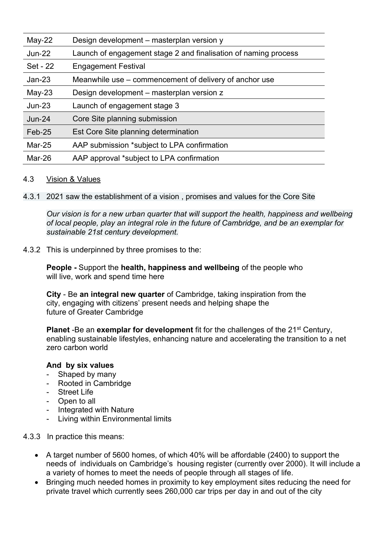| $May-22$  | Design development – masterplan version y                       |
|-----------|-----------------------------------------------------------------|
| $Jun-22$  | Launch of engagement stage 2 and finalisation of naming process |
| Set - 22  | <b>Engagement Festival</b>                                      |
| $Jan-23$  | Meanwhile use – commencement of delivery of anchor use          |
| $May-23$  | Design development – masterplan version z                       |
| $Jun-23$  | Launch of engagement stage 3                                    |
| $Jun-24$  | Core Site planning submission                                   |
| $Feb-25$  | Est Core Site planning determination                            |
| Mar- $25$ | AAP submission *subject to LPA confirmation                     |
| Mar-26    | AAP approval *subject to LPA confirmation                       |
|           |                                                                 |

#### 4.3Vision & Values

4.3.1 2021 saw the establishment of a vision , promises and values for the Core Site

*Our vision is for a new urban quarter that will support the health, happiness and wellbeing of local people, play an integral role in the future of Cambridge, and be an exemplar for sustainable 21st century development.* 

#### 4.3.2 This is underpinned by three promises to the:

**People -** Support the **health, happiness and wellbeing** of the people who will live, work and spend time here

**City** - Be **an integral new quarter** of Cambridge, taking inspiration from the city, engaging with citizens' present needs and helping shape the future of Greater Cambridge

**Planet -Be an exemplar for development** fit for the challenges of the 21<sup>st</sup> Century, enabling sustainable lifestyles, enhancing nature and accelerating the transition to a net zero carbon world

#### **And by six values**

- Shaped by many
- Rooted in Cambridge
- Street Life
- Open to all
- Integrated with Nature
- Living within Environmental limits
- 4.3.3 In practice this means:
	- A target number of 5600 homes, of which 40% will be affordable (2400) to support the needs of individuals on Cambridge's housing register (currently over 2000). It will include a a variety of homes to meet the needs of people through all stages of life.
	- Bringing much needed homes in proximity to key employment sites reducing the need for private travel which currently sees 260,000 car trips per day in and out of the city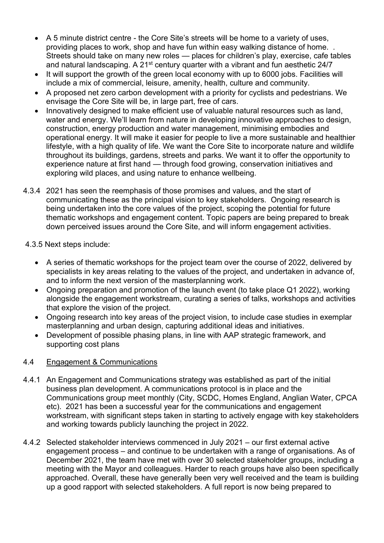- A 5 minute district centre the Core Site's streets will be home to a variety of uses, providing places to work, shop and have fun within easy walking distance of home. . Streets should take on many new roles — places for children's play, exercise, cafe tables and natural landscaping. A  $21<sup>st</sup>$  century quarter with a vibrant and fun aesthetic  $24/7$
- It will support the growth of the green local economy with up to 6000 jobs. Facilities will include a mix of commercial, leisure, amenity, health, culture and community.
- A proposed net zero carbon development with a priority for cyclists and pedestrians. We envisage the Core Site will be, in large part, free of cars.
- Innovatively designed to make efficient use of valuable natural resources such as land, water and energy. We'll learn from nature in developing innovative approaches to design, construction, energy production and water management, minimising embodies and operational energy. It will make it easier for people to live a more sustainable and healthier lifestyle, with a high quality of life. We want the Core Site to incorporate nature and wildlife throughout its buildings, gardens, streets and parks. We want it to offer the opportunity to experience nature at first hand — through food growing, conservation initiatives and exploring wild places, and using nature to enhance wellbeing.
- 4.3.4 2021 has seen the reemphasis of those promises and values, and the start of communicating these as the principal vision to key stakeholders. Ongoing research is being undertaken into the core values of the project, scoping the potential for future thematic workshops and engagement content. Topic papers are being prepared to break down perceived issues around the Core Site, and will inform engagement activities.

### 4.3.5 Next steps include:

- A series of thematic workshops for the project team over the course of 2022, delivered by specialists in key areas relating to the values of the project, and undertaken in advance of, and to inform the next version of the masterplanning work.
- Ongoing preparation and promotion of the launch event (to take place Q1 2022), working alongside the engagement workstream, curating a series of talks, workshops and activities that explore the vision of the project.
- Ongoing research into key areas of the project vision, to include case studies in exemplar masterplanning and urban design, capturing additional ideas and initiatives.
- Development of possible phasing plans, in line with AAP strategic framework, and supporting cost plans

### 4.4 Engagement & Communications

- 4.4.1 An Engagement and Communications strategy was established as part of the initial business plan development. A communications protocol is in place and the Communications group meet monthly (City, SCDC, Homes England, Anglian Water, CPCA etc). 2021 has been a successful year for the communications and engagement workstream, with significant steps taken in starting to actively engage with key stakeholders and working towards publicly launching the project in 2022.
- 4.4.2 Selected stakeholder interviews commenced in July 2021 our first external active engagement process – and continue to be undertaken with a range of organisations. As of December 2021, the team have met with over 30 selected stakeholder groups, including a meeting with the Mayor and colleagues. Harder to reach groups have also been specifically approached. Overall, these have generally been very well received and the team is building up a good rapport with selected stakeholders. A full report is now being prepared to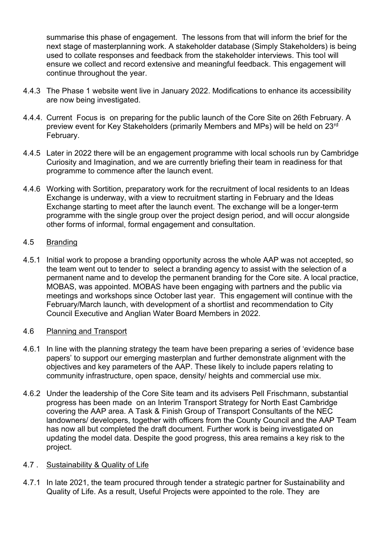summarise this phase of engagement. The lessons from that will inform the brief for the next stage of masterplanning work. A stakeholder database (Simply Stakeholders) is being used to collate responses and feedback from the stakeholder interviews. This tool will ensure we collect and record extensive and meaningful feedback. This engagement will continue throughout the year.

- 4.4.3 The Phase 1 website went live in January 2022. Modifications to enhance its accessibility are now being investigated.
- 4.4.4. Current Focus is on preparing for the public launch of the Core Site on 26th February. A preview event for Key Stakeholders (primarily Members and MPs) will be held on 23rd February.
- 4.4.5 Later in 2022 there will be an engagement programme with local schools run by Cambridge Curiosity and Imagination, and we are currently briefing their team in readiness for that programme to commence after the launch event.
- 4.4.6 Working with Sortition, preparatory work for the recruitment of local residents to an Ideas Exchange is underway, with a view to recruitment starting in February and the Ideas Exchange starting to meet after the launch event. The exchange will be a longer-term programme with the single group over the project design period, and will occur alongside other forms of informal, formal engagement and consultation.

#### 4.5 Branding

4.5.1 Initial work to propose a branding opportunity across the whole AAP was not accepted, so the team went out to tender to select a branding agency to assist with the selection of a permanent name and to develop the permanent branding for the Core site. A local practice, MOBAS, was appointed. MOBAS have been engaging with partners and the public via meetings and workshops since October last year. This engagement will continue with the February/March launch, with development of a shortlist and recommendation to City Council Executive and Anglian Water Board Members in 2022.

#### 4.6 Planning and Transport

- 4.6.1 In line with the planning strategy the team have been preparing a series of 'evidence base papers' to support our emerging masterplan and further demonstrate alignment with the objectives and key parameters of the AAP. These likely to include papers relating to community infrastructure, open space, density/ heights and commercial use mix.
- 4.6.2 Under the leadership of the Core Site team and its advisers Pell Frischmann, substantial progress has been made on an Interim Transport Strategy for North East Cambridge covering the AAP area. A Task & Finish Group of Transport Consultants of the NEC landowners/ developers, together with officers from the County Council and the AAP Team has now all but completed the draft document. Further work is being investigated on updating the model data. Despite the good progress, this area remains a key risk to the project.

#### 4.7 . Sustainability & Quality of Life

4.7.1 In late 2021, the team procured through tender a strategic partner for Sustainability and Quality of Life. As a result, Useful Projects were appointed to the role. They are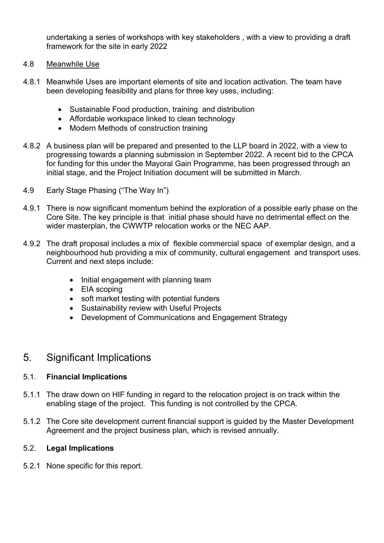undertaking a series of workshops with key stakeholders , with a view to providing a draft framework for the site in early 2022

- 4.8 Meanwhile Use
- 4.8.1 Meanwhile Uses are important elements of site and location activation. The team have been developing feasibility and plans for three key uses, including:
	- Sustainable Food production, training and distribution
	- Affordable workspace linked to clean technology
	- Modern Methods of construction training
- 4.8.2 A business plan will be prepared and presented to the LLP board in 2022, with a view to progressing towards a planning submission in September 2022. A recent bid to the CPCA for funding for this under the Mayoral Gain Programme, has been progressed through an initial stage, and the Project Initiation document will be submitted in March.
- 4.9Early Stage Phasing ("The Way In")
- 4.9.1 There is now significant momentum behind the exploration of a possible early phase on the Core Site. The key principle is that initial phase should have no detrimental effect on the wider masterplan, the CWWTP relocation works or the NEC AAP.
- 4.9.2 The draft proposal includes a mix of flexible commercial space of exemplar design, and a neighbourhood hub providing a mix of community, cultural engagement and transport uses. Current and next steps include:
	- Initial engagement with planning team
	- EIA scoping
	- soft market testing with potential funders
	- Sustainability review with Useful Projects
	- Development of Communications and Engagement Strategy

## 5. Significant Implications

#### 5.1. **Financial Implications**

- 5.1.1 The draw down on HIF funding in regard to the relocation project is on track within the enabling stage of the project. This funding is not controlled by the CPCA.
- 5.1.2 The Core site development current financial support is guided by the Master Development Agreement and the project business plan, which is revised annually.

#### 5.2. **Legal Implications**

5.2.1 None specific for this report.